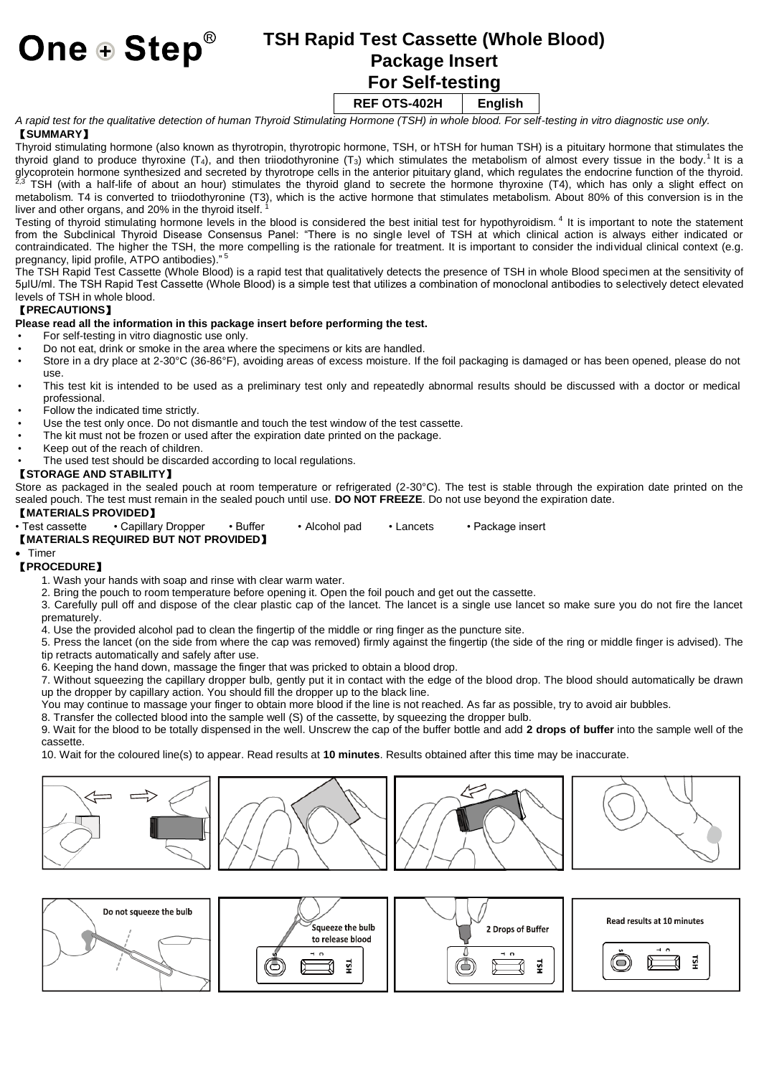# **One**  $\oplus$  **Step<sup>®</sup> TSH Rapid Test Cassette (Whole Blood) Package Insert For Self-testing**

# **REF OTS-402H English**

*A rapid test for the qualitative detection of human Thyroid Stimulating Hormone (TSH) in whole blood. For self-testing in vitro diagnostic use only.*

# 【**SUMMARY**】

Thyroid stimulating hormone (also known as thyrotropin, thyrotropic hormone, TSH, or hTSH for human TSH) is [a pituitary hormone](https://en.wikipedia.org/wiki/Pituitary_hormone) that stimulates the [thyroid](https://en.wikipedia.org/wiki/Thyroid) gland to produce [thyroxine](https://en.wikipedia.org/wiki/Thyroxine) (T<sub>4</sub>), and then [triiodothyronine](https://en.wikipedia.org/wiki/Triiodothyronine) (T<sub>3</sub>) which stimulates the metabolism of almost every tissue in the body[.](https://en.wikipedia.org/wiki/Thyroid-stimulating_hormone#cite_note-Merck-1)<sup>1</sup> It is a [glycoprotein](https://en.wikipedia.org/wiki/Glycoprotein) hormone synthesized and secreted b[y thyrotrope](https://en.wikipedia.org/wiki/Thyrotrope) cells in th[e anterior pituitary gland,](https://en.wikipedia.org/wiki/Anterior_pituitary_gland) which regulates the endocrine function of th[e thyroid.](https://en.wikipedia.org/wiki/Thyroid) [2,3](https://en.wikipedia.org/wiki/Thyroid-stimulating_hormone#cite_note-2) TSH (with a half-life of about an hour) stimulates the thyroid gland to secrete the hormone [thyroxine](https://en.wikipedia.org/wiki/Thyroxine) (T4), which has only a slight effect on metabolism. T4 is converted t[o triiodothyronine](https://en.wikipedia.org/wiki/Triiodothyronine) (T3), which is the active hormone that stimulates metabolism. About 80% of this conversion is in the liver and other organs, and 20% in the thyroid itself. [1](https://en.wikipedia.org/wiki/Thyroid-stimulating_hormone#cite_note-Merck-1)

Testing of thyroid stimulating hormone levels in the blood is considered the best initial test for hypothyroidism. [4](https://en.wikipedia.org/wiki/Thyroid-stimulating_hormone#cite_note-Merck-1) It is important to note the statement from the Subclinical Thyroid Disease Consensus Panel: "There is no single level of TSH at which clinical action is always either indicated or contraindicated. The higher the TSH, the more compelling is the rationale for treatment. It is important to consider the individual clinical context (e.g. pregnancy, lipid profile, ATPO antibodies)." [5](https://en.wikipedia.org/wiki/Thyroid-stimulating_hormone#cite_note-Merck-1)

The TSH Rapid Test Cassette (Whole Blood) is a rapid test that qualitatively detects the presence of TSH in whole Blood specimen at the sensitivity of 5μlU/ml. The TSH Rapid Test Cassette (Whole Blood) is a simple test that utilizes a combination of monoclonal antibodies to selectively detect elevated levels of TSH in whole blood.

### 【**PRECAUTIONS**】

# **Please read all the information in this package insert before performing the test.**

- For self-testing in vitro diagnostic use only.
- Do not eat, drink or smoke in the area where the specimens or kits are handled.
- Store in a dry place at 2-30°C (36-86°F), avoiding areas of excess moisture. If the foil packaging is damaged or has been opened, please do not  $U<sub>1</sub>$
- This test kit is intended to be used as a preliminary test only and repeatedly abnormal results should be discussed with a doctor or medical professional.
- Follow the indicated time strictly.
- Use the test only once. Do not dismantle and touch the test window of the test cassette.
- The kit must not be frozen or used after the expiration date printed on the package.
- Keep out of the reach of children.
- The used test should be discarded according to local regulations.

#### 【**STORAGE AND STABILITY**】

Store as packaged in the sealed pouch at room temperature or refrigerated (2-30°C). The test is stable through the expiration date printed on the sealed pouch. The test must remain in the sealed pouch until use. **DO NOT FREEZE**. Do not use beyond the expiration date.

# 【**MATERIALS PROVIDED**】

• Test cassette • Capillary Dropper • Buffer • Alcohol pad • Lancets • Package insert

# 【**MATERIALS REQUIRED BUT NOT PROVIDED**】

#### • Timer

#### 【**PROCEDURE**】

- 1. Wash your hands with soap and rinse with clear warm water.
- 2. Bring the pouch to room temperature before opening it. Open the foil pouch and get out the cassette.

3. Carefully pull off and dispose of the clear plastic cap of the lancet. The lancet is a single use lancet so make sure you do not fire the lancet prematurely.

4. Use the provided alcohol pad to clean the fingertip of the middle or ring finger as the puncture site.

5. Press the lancet (on the side from where the cap was removed) firmly against the fingertip (the side of the ring or middle finger is advised). The tip retracts automatically and safely after use.

6. Keeping the hand down, massage the finger that was pricked to obtain a blood drop.

7. Without squeezing the capillary dropper bulb, gently put it in contact with the edge of the blood drop. The blood should automatically be drawn up the dropper by capillary action. You should fill the dropper up to the black line.

You may continue to massage your finger to obtain more blood if the line is not reached. As far as possible, try to avoid air bubbles.

8. Transfer the collected blood into the sample well (S) of the cassette, by squeezing the dropper bulb.

9. Wait for the blood to be totally dispensed in the well. Unscrew the cap of the buffer bottle and add **2 drops of buffer** into the sample well of the cassette.

10. Wait for the coloured line(s) to appear. Read results at **10 minutes**. Results obtained after this time may be inaccurate.